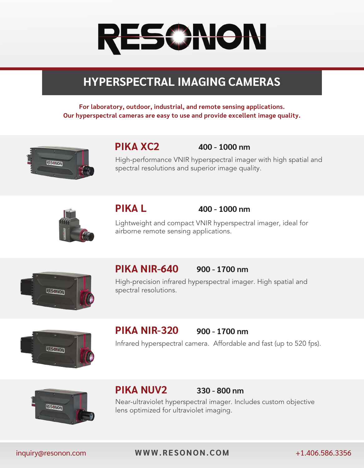# RESS NON

## **HYPERSPECTRAL IMAGING CAMERAS**

**For laboratory, outdoor, industrial, and remote sensing applications. Our hyperspectral cameras are easy to use and provide excellent image quality.**



## **PIKA XC2**

 **400 - 1000 nm**

High-performance VNIR hyperspectral imager with high spatial and spectral resolutions and superior image quality.



## **PIKA L**

### **400 - 1000 nm**

Lightweight and compact VNIR hyperspectral imager, ideal for airborne remote sensing applications.



#### **PIKA NIR-640 900 - 1700 nm**

High-precision infrared hyperspectral imager. High spatial and spectral resolutions.



#### **PIKA NIR-320 900 - 1700 nm**

Infrared hyperspectral camera. Affordable and fast (up to 520 fps).



## **PIKA NUV2**

## **330 - 800 nm**

Near-ultraviolet hyperspectral imager. Includes custom objective lens optimized for ultraviolet imaging.

inquiry@resonon.com **[WWW.RESONON.COM](www.resonon.com)** +1.406.586.3356